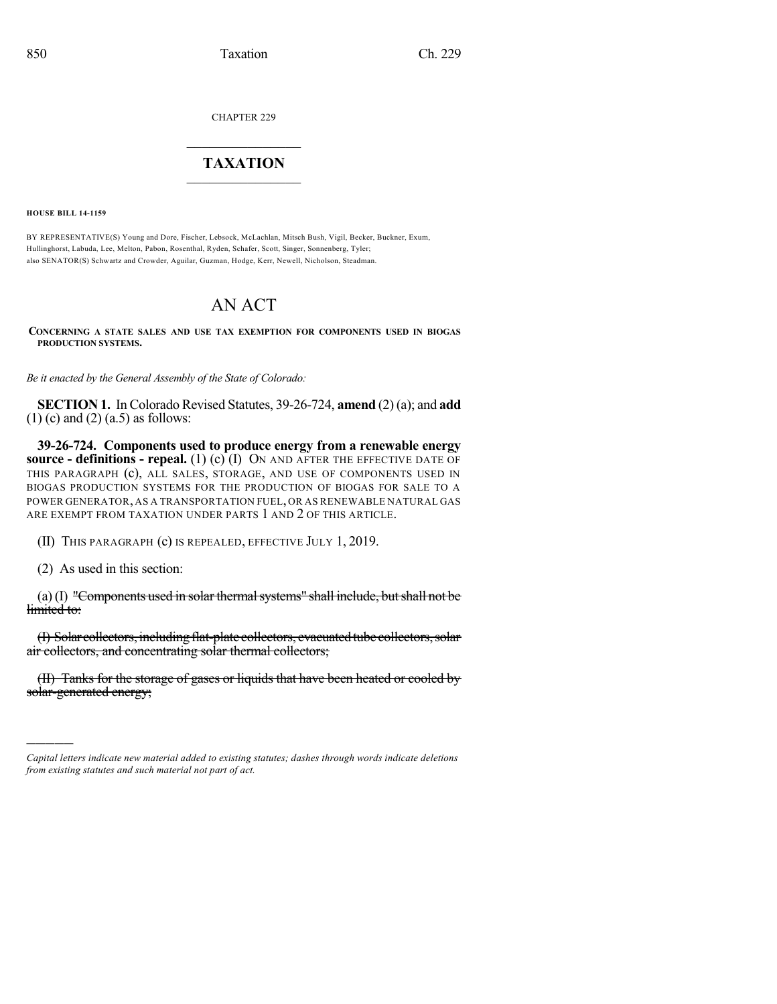CHAPTER 229

## $\overline{\phantom{a}}$  . The set of the set of the set of the set of the set of the set of the set of the set of the set of the set of the set of the set of the set of the set of the set of the set of the set of the set of the set o **TAXATION**  $\_$

**HOUSE BILL 14-1159**

BY REPRESENTATIVE(S) Young and Dore, Fischer, Lebsock, McLachlan, Mitsch Bush, Vigil, Becker, Buckner, Exum, Hullinghorst, Labuda, Lee, Melton, Pabon, Rosenthal, Ryden, Schafer, Scott, Singer, Sonnenberg, Tyler; also SENATOR(S) Schwartz and Crowder, Aguilar, Guzman, Hodge, Kerr, Newell, Nicholson, Steadman.

## AN ACT

**CONCERNING A STATE SALES AND USE TAX EXEMPTION FOR COMPONENTS USED IN BIOGAS PRODUCTION SYSTEMS.**

*Be it enacted by the General Assembly of the State of Colorado:*

**SECTION 1.** In Colorado Revised Statutes, 39-26-724, **amend** (2)(a); and **add**  $(1)$  (c) and  $(2)$  (a.5) as follows:

**39-26-724. Components used to produce energy from a renewable energy source - definitions - repeal.** (1) (c) (I) ON AND AFTER THE EFFECTIVE DATE OF THIS PARAGRAPH (c), ALL SALES, STORAGE, AND USE OF COMPONENTS USED IN BIOGAS PRODUCTION SYSTEMS FOR THE PRODUCTION OF BIOGAS FOR SALE TO A POWER GENERATOR, AS A TRANSPORTATION FUEL, OR AS RENEWABLE NATURAL GAS ARE EXEMPT FROM TAXATION UNDER PARTS 1 AND 2 OF THIS ARTICLE.

(II) THIS PARAGRAPH (c) IS REPEALED, EFFECTIVE JULY 1, 2019.

(2) As used in this section:

)))))

(a) (I) "Components used in solar thermal systems" shall include, but shall not be limited to:

(I) Solar collectors, including flat-plate collectors, evacuated tube collectors, solar air collectors, and concentrating solar thermal collectors;

(II) Tanks for the storage of gases or liquids that have been heated or cooled by solar-generated energy;

*Capital letters indicate new material added to existing statutes; dashes through words indicate deletions from existing statutes and such material not part of act.*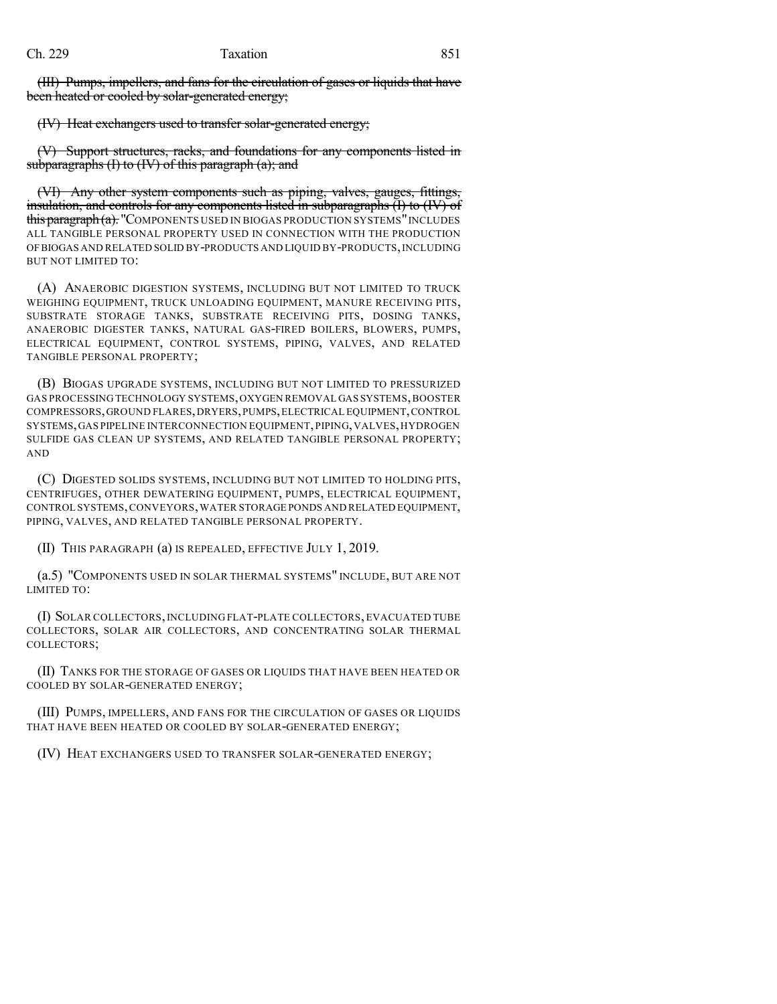(III) Pumps, impellers, and fans for the circulation of gases or liquids that have been heated or cooled by solar-generated energy;

(IV) Heat exchangers used to transfer solar-generated energy;

Support structures, racks, and foundations for any components listed in subparagraphs  $(I)$  to  $(IV)$  of this paragraph  $(a)$ ; and

(VI) Any other system components such as piping, valves, gauges, fittings, insulation, and controls for any components listed in subparagraphs (I) to (IV) of this paragraph (a). "COMPONENTS USED IN BIOGAS PRODUCTION SYSTEMS" INCLUDES ALL TANGIBLE PERSONAL PROPERTY USED IN CONNECTION WITH THE PRODUCTION OFBIOGAS AND RELATED SOLID BY-PRODUCTS AND LIQUID BY-PRODUCTS,INCLUDING BUT NOT LIMITED TO:

(A) ANAEROBIC DIGESTION SYSTEMS, INCLUDING BUT NOT LIMITED TO TRUCK WEIGHING EQUIPMENT, TRUCK UNLOADING EQUIPMENT, MANURE RECEIVING PITS, SUBSTRATE STORAGE TANKS, SUBSTRATE RECEIVING PITS, DOSING TANKS, ANAEROBIC DIGESTER TANKS, NATURAL GAS-FIRED BOILERS, BLOWERS, PUMPS, ELECTRICAL EQUIPMENT, CONTROL SYSTEMS, PIPING, VALVES, AND RELATED TANGIBLE PERSONAL PROPERTY;

(B) BIOGAS UPGRADE SYSTEMS, INCLUDING BUT NOT LIMITED TO PRESSURIZED GAS PROCESSING TECHNOLOGY SYSTEMS,OXYGEN REMOVAL GAS SYSTEMS,BOOSTER COMPRESSORS,GROUND FLARES,DRYERS,PUMPS,ELECTRICAL EQUIPMENT,CONTROL SYSTEMS,GAS PIPELINE INTERCONNECTION EQUIPMENT,PIPING,VALVES,HYDROGEN SULFIDE GAS CLEAN UP SYSTEMS, AND RELATED TANGIBLE PERSONAL PROPERTY; AND

(C) DIGESTED SOLIDS SYSTEMS, INCLUDING BUT NOT LIMITED TO HOLDING PITS, CENTRIFUGES, OTHER DEWATERING EQUIPMENT, PUMPS, ELECTRICAL EQUIPMENT, CONTROL SYSTEMS,CONVEYORS,WATER STORAGE PONDS AND RELATED EQUIPMENT, PIPING, VALVES, AND RELATED TANGIBLE PERSONAL PROPERTY.

(II) THIS PARAGRAPH (a) IS REPEALED, EFFECTIVE JULY 1, 2019.

(a.5) "COMPONENTS USED IN SOLAR THERMAL SYSTEMS" INCLUDE, BUT ARE NOT LIMITED TO:

(I) SOLAR COLLECTORS,INCLUDING FLAT-PLATE COLLECTORS, EVACUATED TUBE COLLECTORS, SOLAR AIR COLLECTORS, AND CONCENTRATING SOLAR THERMAL COLLECTORS;

(II) TANKS FOR THE STORAGE OF GASES OR LIQUIDS THAT HAVE BEEN HEATED OR COOLED BY SOLAR-GENERATED ENERGY;

(III) PUMPS, IMPELLERS, AND FANS FOR THE CIRCULATION OF GASES OR LIQUIDS THAT HAVE BEEN HEATED OR COOLED BY SOLAR-GENERATED ENERGY;

(IV) HEAT EXCHANGERS USED TO TRANSFER SOLAR-GENERATED ENERGY;